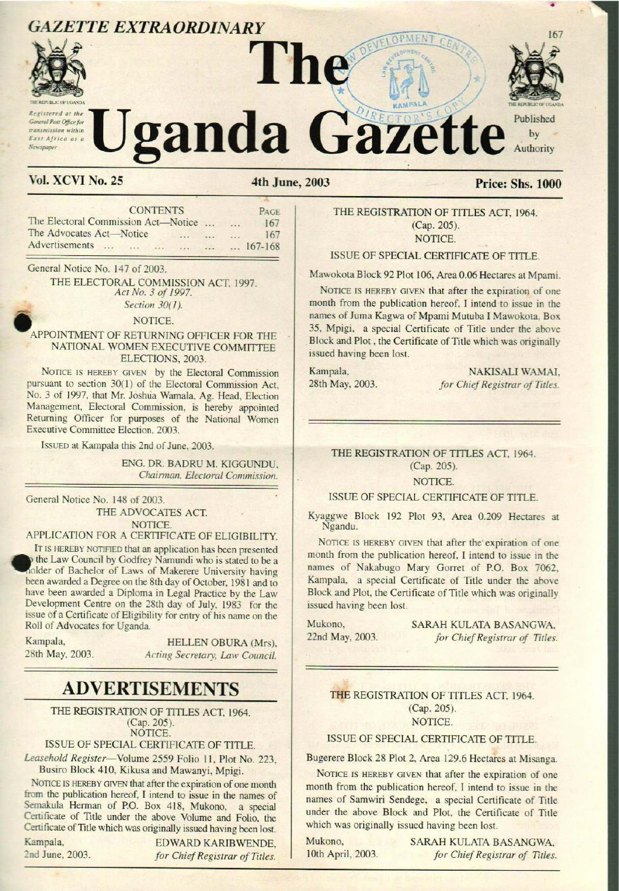# **GAZETTE EXTRAORDINARY**



Registered at the meral Post Office for transmission within East Africa as a Newspaper

# ganda Gazette Published by Authority

# **Vol. XCVI No. 25**

# 4th June, 2003

# **Price: Shs. 1000**

167

| <b>CONTENTS</b> |                |         |                          |         |                                     | PAGE             |  |
|-----------------|----------------|---------|--------------------------|---------|-------------------------------------|------------------|--|
|                 |                |         |                          |         | $\overline{a}$                      | 167              |  |
|                 |                |         |                          | $-11.1$ |                                     | 167              |  |
| $\cdots$        | $\frac{1}{2}$  | $\cdot$ | $\sim$                   |         |                                     | $\ldots$ 167-168 |  |
|                 | Advertisements |         | The Advocates Act-Notice |         | The Electoral Commission Act—Notice |                  |  |

General Notice No. 147 of 2003.

THE ELECTORAL COMMISSION ACT, 1997. Act No. 3 of 1997. Section 30(1).

#### NOTICE.

#### APPOINTMENT OF RETURNING OFFICER FOR THE NATIONAL WOMEN EXECUTIVE COMMITTEE ELECTIONS, 2003.

NOTICE IS HEREBY GIVEN by the Electoral Commission pursuant to section 30(1) of the Electoral Commission Act, No. 3 of 1997, that Mr. Joshua Wamala, Ag. Head, Election Management, Electoral Commission, is hereby appointed Returning Officer for purposes of the National Women Executive Committee Election, 2003.

ISSUED at Kampala this 2nd of June, 2003.

ENG. DR. BADRU M. KIGGUNDU. Chairman, Electoral Commission.

General Notice No. 148 of 2003. THE ADVOCATES ACT. NOTICE.

# APPLICATION FOR A CERTIFICATE OF ELIGIBILITY.

IT IS HEREBY NOTIFIED that an application has been presented p the Law Council by Godfrey Namundi who is stated to be a older of Bachelor of Laws of Makerere University having been awarded a Degree on the 8th day of October, 1981 and to have been awarded a Diploma in Legal Practice by the Law Development Centre on the 28th day of July, 1983 for the issue of a Certificate of Eligibility for entry of his name on the Roll of Advocates for Uganda.

Kampala. 28th May, 2003.

HELLEN OBURA (Mrs). Acting Secretary, Law Council.

# **ADVERTISEMENTS**

THE REGISTRATION OF TITLES ACT, 1964. (Cap. 205). NOTICE.

ISSUE OF SPECIAL CERTIFICATE OF TITLE.

Leasehold Register-Volume 2559 Folio 11, Plot No. 223, Busiro Block 410, Kikusa and Mawanyi, Mpigi.

NOTICE IS HEREBY GIVEN that after the expiration of one month from the publication hereof, I intend to issue in the names of Semakula Herman of P.O. Box 418, Mukono, a special Certificate of Title under the above Volume and Folio, the Certificate of Title which was originally issued having been lost.

Kampala. 2nd June, 2003.

EDWARD KARIBWENDE. for Chief Registrar of Titles.

THE REGISTRATION OF TITLES ACT, 1964. (Cap. 205). NOTICE.

## ISSUE OF SPECIAL CERTIFICATE OF TITLE.

Mawokota Block 92 Plot 106, Area 0.06 Hectares at Mpami.

NOTICE IS HEREBY GIVEN that after the expiration of one month from the publication hereof, I intend to issue in the names of Juma Kagwa of Mpami Mutuba I Mawokota, Box 35, Mpigi, a special Certificate of Title under the above Block and Plot, the Certificate of Title which was originally issued having been lost.

Kampala, 28th May, 2003.

NAKISALI WAMAI, for Chief Registrar of Titles.

# THE REGISTRATION OF TITLES ACT, 1964. (Cap. 205).

#### NOTICE.

# ISSUE OF SPECIAL CERTIFICATE OF TITLE.

Kyaggwe Block 192 Plot 93, Area 0.209 Hectares at Ngandu.

NOTICE IS HEREBY GIVEN that after the expiration of one month from the publication hereof, I intend to issue in the names of Nakabugo Mary Gorret of P.O. Box 7062, Kampala, a special Certificate of Title under the above Block and Plot, the Certificate of Title which was originally issued having been lost.

Mukono. 22nd May, 2003. SARAH KULATA BASANGWA. for Chief Registrar of Titles.

THE REGISTRATION OF TITLES ACT, 1964. (Cap. 205). NOTICE.

## ISSUE OF SPECIAL CERTIFICATE OF TITLE.

Bugerere Block 28 Plot 2, Area 129.6 Hectares at Misanga.

NOTICE IS HEREBY GIVEN that after the expiration of one month from the publication hereof, I intend to issue in the names of Samwiri Sendege, a special Certificate of Title under the above Block and Plot, the Certificate of Title which was originally issued having been lost.

Mukono. 10th April, 2003. SARAH KULATA BASANGWA, for Chief Registrar of Titles.